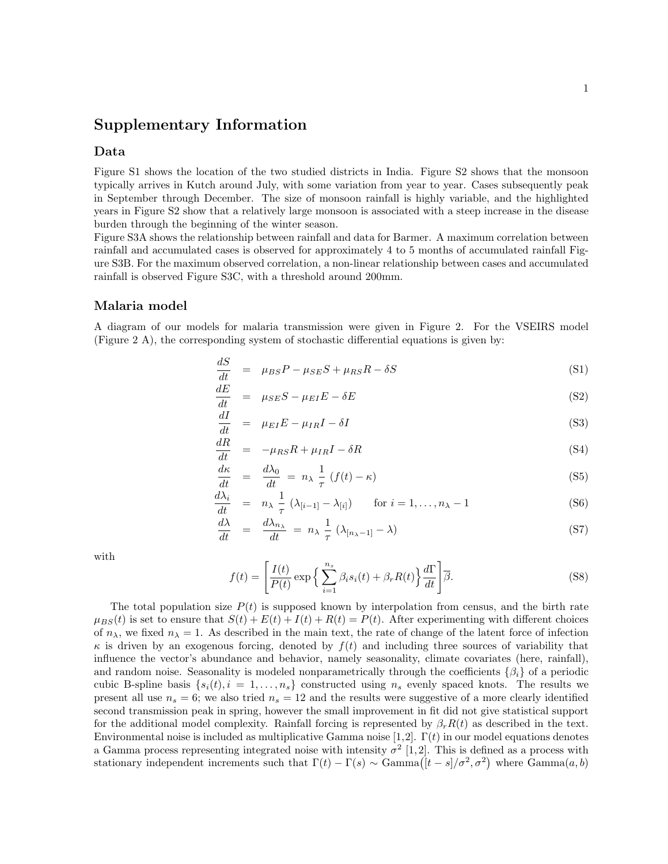# Supplementary Information

## Data

Figure S1 shows the location of the two studied districts in India. Figure S2 shows that the monsoon typically arrives in Kutch around July, with some variation from year to year. Cases subsequently peak in September through December. The size of monsoon rainfall is highly variable, and the highlighted years in Figure S2 show that a relatively large monsoon is associated with a steep increase in the disease burden through the beginning of the winter season.

Figure S3A shows the relationship between rainfall and data for Barmer. A maximum correlation between rainfall and accumulated cases is observed for approximately 4 to 5 months of accumulated rainfall Figure S3B. For the maximum observed correlation, a non-linear relationship between cases and accumulated rainfall is observed Figure S3C, with a threshold around 200mm.

### Malaria model

A diagram of our models for malaria transmission were given in Figure 2. For the VSEIRS model (Figure 2 A), the corresponding system of stochastic differential equations is given by:

$$
\frac{dS}{dt} = \mu_{BS}P - \mu_{SE}S + \mu_{RS}R - \delta S \tag{S1}
$$

$$
\frac{dE}{dt} = \mu_{SE} S - \mu_{EI} E - \delta E \tag{S2}
$$

$$
\frac{dI}{dt} = \mu_{EI} E - \mu_{IR} I - \delta I \tag{S3}
$$

$$
\frac{dR}{dt} = -\mu_{RS}R + \mu_{IR}I - \delta R \tag{S4}
$$

$$
\frac{d\kappa}{dt} = \frac{d\lambda_0}{dt} = n_\lambda \frac{1}{\tau} (f(t) - \kappa) \tag{S5}
$$

$$
\frac{d\lambda_i}{dt} = n_\lambda \frac{1}{\tau} (\lambda_{[i-1]} - \lambda_{[i]}) \quad \text{for } i = 1, \dots, n_\lambda - 1 \tag{S6}
$$

$$
\frac{d\lambda}{dt} = \frac{d\lambda_{n_{\lambda}}}{dt} = n_{\lambda} \frac{1}{\tau} \left( \lambda_{[n_{\lambda}-1]} - \lambda \right) \tag{S7}
$$

with

$$
f(t) = \left[\frac{I(t)}{P(t)} \exp\left\{\sum_{i=1}^{n_s} \beta_i s_i(t) + \beta_r R(t)\right\} \frac{d\Gamma}{dt}\right] \overline{\beta}.
$$
 (S8)

The total population size  $P(t)$  is supposed known by interpolation from census, and the birth rate  $\mu_{BS}(t)$  is set to ensure that  $S(t) + E(t) + I(t) + R(t) = P(t)$ . After experimenting with different choices of  $n_{\lambda}$ , we fixed  $n_{\lambda} = 1$ . As described in the main text, the rate of change of the latent force of infection  $\kappa$  is driven by an exogenous forcing, denoted by  $f(t)$  and including three sources of variability that influence the vector's abundance and behavior, namely seasonality, climate covariates (here, rainfall), and random noise. Seasonality is modeled nonparametrically through the coefficients  $\{\beta_i\}$  of a periodic cubic B-spline basis  $\{s_i(t), i = 1, \ldots, n_s\}$  constructed using  $n_s$  evenly spaced knots. The results we present all use  $n_s = 6$ ; we also tried  $n_s = 12$  and the results were suggestive of a more clearly identified second transmission peak in spring, however the small improvement in fit did not give statistical support for the additional model complexity. Rainfall forcing is represented by  $\beta_r R(t)$  as described in the text. Environmental noise is included as multiplicative Gamma noise [1,2].  $\Gamma(t)$  in our model equations denotes a Gamma process representing integrated noise with intensity  $\sigma^2$  [1, 2]. This is defined as a process with stationary independent increments such that  $\Gamma(t) - \Gamma(s) \sim \text{Gamma}([t-s]/\sigma^2, \sigma^2)$  where  $\text{Gamma}(a, b)$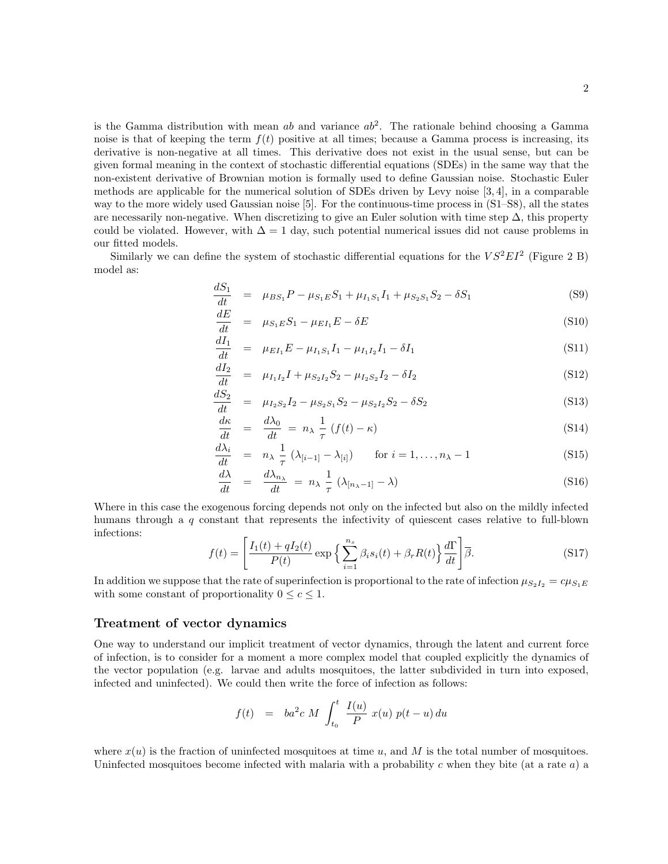is the Gamma distribution with mean ab and variance  $ab^2$ . The rationale behind choosing a Gamma noise is that of keeping the term  $f(t)$  positive at all times; because a Gamma process is increasing, its derivative is non-negative at all times. This derivative does not exist in the usual sense, but can be given formal meaning in the context of stochastic differential equations (SDEs) in the same way that the non-existent derivative of Brownian motion is formally used to define Gaussian noise. Stochastic Euler methods are applicable for the numerical solution of SDEs driven by Levy noise [3, 4], in a comparable way to the more widely used Gaussian noise [5]. For the continuous-time process in (S1–S8), all the states are necessarily non-negative. When discretizing to give an Euler solution with time step  $\Delta$ , this property could be violated. However, with  $\Delta = 1$  day, such potential numerical issues did not cause problems in our fitted models.

Similarly we can define the system of stochastic differential equations for the  $VS^2EI^2$  (Figure 2 B) model as:

$$
\frac{dS_1}{dt} = \mu_{BS_1} P - \mu_{S_1 E} S_1 + \mu_{I_1 S_1} I_1 + \mu_{S_2 S_1} S_2 - \delta S_1
$$
\n(S9)

$$
\frac{dE}{dt} = \mu_{S_1E} S_1 - \mu_{EI_1} E - \delta E \tag{S10}
$$

$$
\frac{dI_1}{dt} = \mu_{EI_1} E - \mu_{I_1S_1} I_1 - \mu_{I_1I_2} I_1 - \delta I_1
$$
\n(S11)

$$
\frac{dI_2}{dt} = \mu_{I_1 I_2} I + \mu_{S_2 I_2} S_2 - \mu_{I_2 S_2} I_2 - \delta I_2
$$
\n(S12)

$$
\frac{dS_2}{dt} = \mu_{I_2S_2}I_2 - \mu_{S_2S_1}S_2 - \mu_{S_2I_2}S_2 - \delta S_2
$$
\n(S13)

$$
\frac{d\kappa}{dt} = \frac{d\lambda_0}{dt} = n_\lambda \frac{1}{\tau} (f(t) - \kappa) \tag{S14}
$$

$$
\frac{d\lambda_i}{dt} = n_\lambda \frac{1}{\tau} (\lambda_{[i-1]} - \lambda_{[i]}) \quad \text{for } i = 1, \dots, n_\lambda - 1 \tag{S15}
$$

$$
\frac{d\lambda}{dt} = \frac{d\lambda_{n_{\lambda}}}{dt} = n_{\lambda} \frac{1}{\tau} \left( \lambda_{[n_{\lambda}-1]} - \lambda \right) \tag{S16}
$$

Where in this case the exogenous forcing depends not only on the infected but also on the mildly infected humans through a q constant that represents the infectivity of quiescent cases relative to full-blown infections:

$$
f(t) = \left[\frac{I_1(t) + qI_2(t)}{P(t)} \exp\left\{\sum_{i=1}^{n_s} \beta_i s_i(t) + \beta_r R(t)\right\} \frac{d\Gamma}{dt}\right] \overline{\beta}.
$$
 (S17)

In addition we suppose that the rate of superinfection is proportional to the rate of infection  $\mu_{S_2I_2} = c\mu_{S_1E}$ with some constant of proportionality  $0 \leq c \leq 1$ .

## Treatment of vector dynamics

One way to understand our implicit treatment of vector dynamics, through the latent and current force of infection, is to consider for a moment a more complex model that coupled explicitly the dynamics of the vector population (e.g. larvae and adults mosquitoes, the latter subdivided in turn into exposed, infected and uninfected). We could then write the force of infection as follows:

$$
f(t) = ba^2 c M \int_{t_0}^t \frac{I(u)}{P} x(u) p(t-u) du
$$

where  $x(u)$  is the fraction of uninfected mosquitoes at time u, and M is the total number of mosquitoes. Uninfected mosquitoes become infected with malaria with a probability c when they bite (at a rate  $a$ ) a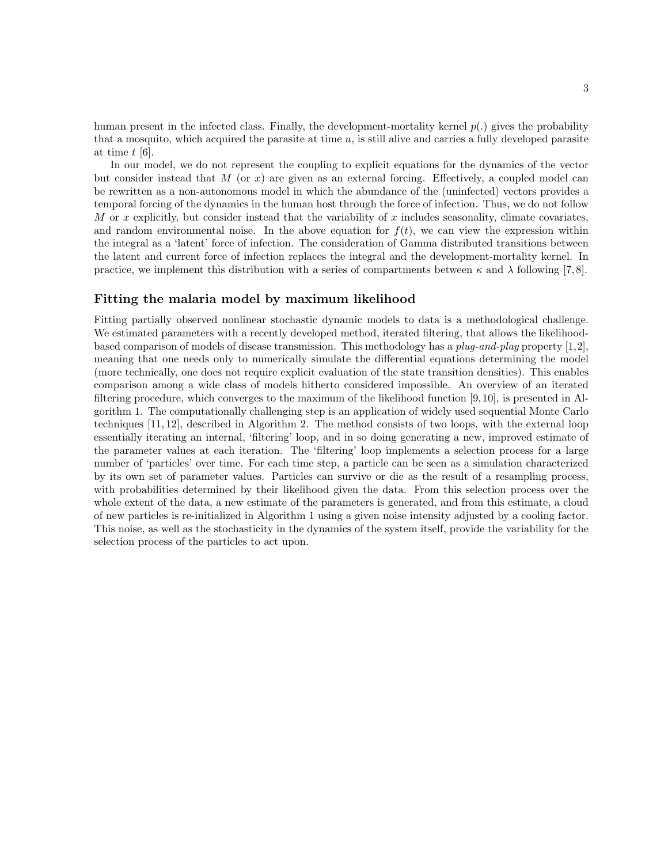human present in the infected class. Finally, the development-mortality kernel  $p(.)$  gives the probability that a mosquito, which acquired the parasite at time  $u$ , is still alive and carries a fully developed parasite at time t [6].

In our model, we do not represent the coupling to explicit equations for the dynamics of the vector but consider instead that M (or x) are given as an external forcing. Effectively, a coupled model can be rewritten as a non-autonomous model in which the abundance of the (uninfected) vectors provides a temporal forcing of the dynamics in the human host through the force of infection. Thus, we do not follow M or x explicitly, but consider instead that the variability of x includes seasonality, climate covariates, and random environmental noise. In the above equation for  $f(t)$ , we can view the expression within the integral as a 'latent' force of infection. The consideration of Gamma distributed transitions between the latent and current force of infection replaces the integral and the development-mortality kernel. In practice, we implement this distribution with a series of compartments between  $\kappa$  and  $\lambda$  following [7,8].

## Fitting the malaria model by maximum likelihood

Fitting partially observed nonlinear stochastic dynamic models to data is a methodological challenge. We estimated parameters with a recently developed method, iterated filtering, that allows the likelihoodbased comparison of models of disease transmission. This methodology has a plug-and-play property [1,2], meaning that one needs only to numerically simulate the differential equations determining the model (more technically, one does not require explicit evaluation of the state transition densities). This enables comparison among a wide class of models hitherto considered impossible. An overview of an iterated filtering procedure, which converges to the maximum of the likelihood function [9, 10], is presented in Algorithm 1. The computationally challenging step is an application of widely used sequential Monte Carlo techniques [11, 12], described in Algorithm 2. The method consists of two loops, with the external loop essentially iterating an internal, 'filtering' loop, and in so doing generating a new, improved estimate of the parameter values at each iteration. The 'filtering' loop implements a selection process for a large number of 'particles' over time. For each time step, a particle can be seen as a simulation characterized by its own set of parameter values. Particles can survive or die as the result of a resampling process, with probabilities determined by their likelihood given the data. From this selection process over the whole extent of the data, a new estimate of the parameters is generated, and from this estimate, a cloud of new particles is re-initialized in Algorithm 1 using a given noise intensity adjusted by a cooling factor. This noise, as well as the stochasticity in the dynamics of the system itself, provide the variability for the selection process of the particles to act upon.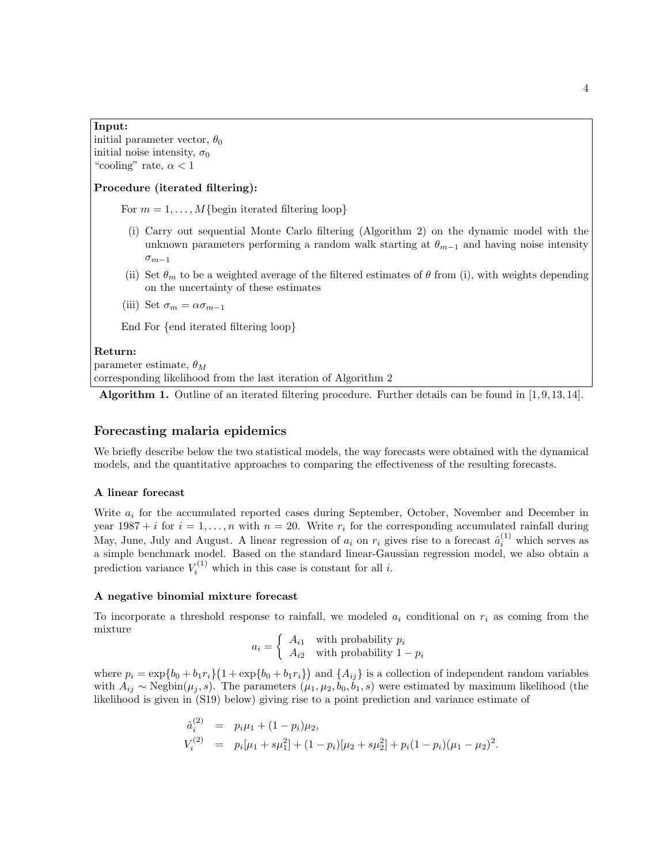## Input:

initial parameter vector,  $\theta_0$ initial noise intensity,  $\sigma_0$ "cooling" rate,  $\alpha < 1$ 

## Procedure (iterated filtering):

For  $m = 1, \ldots, M\{\text{begin iterated filtering loop}\}\$ 

- (i) Carry out sequential Monte Carlo filtering (Algorithm 2) on the dynamic model with the unknown parameters performing a random walk starting at  $\theta_{m-1}$  and having noise intensity  $\sigma_{m-1}$
- (ii) Set  $\theta_m$  to be a weighted average of the filtered estimates of  $\theta$  from (i), with weights depending on the uncertainty of these estimates

(iii) Set  $\sigma_m = \alpha \sigma_{m-1}$ 

End For {end iterated filtering loop}

#### Return:

parameter estimate,  $\theta_M$ corresponding likelihood from the last iteration of Algorithm 2

Algorithm 1. Outline of an iterated filtering procedure. Further details can be found in [1, 9, 13, 14].

# Forecasting malaria epidemics

We briefly describe below the two statistical models, the way forecasts were obtained with the dynamical models, and the quantitative approaches to comparing the effectiveness of the resulting forecasts.

#### A linear forecast

Write  $a_i$  for the accumulated reported cases during September, October, November and December in year 1987 + *i* for  $i = 1, ..., n$  with  $n = 20$ . Write  $r_i$  for the corresponding accumulated rainfall during May, June, July and August. A linear regression of  $a_i$  on  $r_i$  gives rise to a forecast  $\hat{a}_i^{(1)}$  which serves as a simple benchmark model. Based on the standard linear-Gaussian regression model, we also obtain a prediction variance  $V_i^{(1)}$  which in this case is constant for all *i*.

#### A negative binomial mixture forecast

To incorporate a threshold response to rainfall, we modeled  $a_i$  conditional on  $r_i$  as coming from the mixture

$$
a_i = \left\{ \begin{array}{ll} A_{i1} & \text{with probability } p_i \\ A_{i2} & \text{with probability } 1 - p_i \end{array} \right.
$$

where  $p_i = \exp\{b_0 + b_1 r_i\} (1 + \exp\{b_0 + b_1 r_i\})$  and  $\{A_{ij}\}\$ is a collection of independent random variables with  $A_{ij} \sim \text{Negbin}(\mu_j, s)$ . The parameters  $(\mu_1, \mu_2, b_0, b_1, s)$  were estimated by maximum likelihood (the likelihood is given in (S19) below) giving rise to a point prediction and variance estimate of

$$
\hat{a}_i^{(2)} = p_i \mu_1 + (1 - p_i) \mu_2,
$$
  
\n
$$
V_i^{(2)} = p_i [\mu_1 + s\mu_1^2] + (1 - p_i) [\mu_2 + s\mu_2^2] + p_i (1 - p_i) (\mu_1 - \mu_2)^2.
$$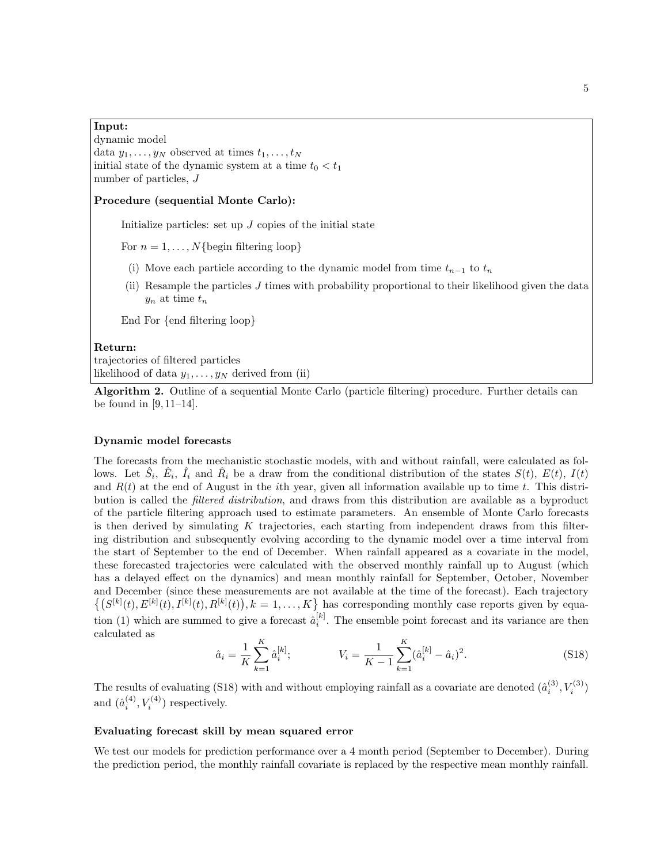Input: dynamic model data  $y_1, \ldots, y_N$  observed at times  $t_1, \ldots, t_N$ initial state of the dynamic system at a time  $t_0 < t_1$ number of particles, J

#### Procedure (sequential Monte Carlo):

Initialize particles: set up  $J$  copies of the initial state

For  $n = 1, \ldots, N\{\text{begin filtering loop}\}$ 

- (i) Move each particle according to the dynamic model from time  $t_{n-1}$  to  $t_n$
- (ii) Resample the particles  $J$  times with probability proportional to their likelihood given the data  $y_n$  at time  $t_n$

End For {end filtering loop}

#### Return:

trajectories of filtered particles likelihood of data  $y_1, \ldots, y_N$  derived from (ii)

Algorithm 2. Outline of a sequential Monte Carlo (particle filtering) procedure. Further details can be found in [9, 11–14].

#### Dynamic model forecasts

The forecasts from the mechanistic stochastic models, with and without rainfall, were calculated as follows. Let  $\hat{S}_i$ ,  $\hat{E}_i$ ,  $\hat{I}_i$  and  $\hat{R}_i$  be a draw from the conditional distribution of the states  $S(t)$ ,  $E(t)$ ,  $I(t)$ and  $R(t)$  at the end of August in the *i*th year, given all information available up to time t. This distribution is called the filtered distribution, and draws from this distribution are available as a byproduct of the particle filtering approach used to estimate parameters. An ensemble of Monte Carlo forecasts is then derived by simulating  $K$  trajectories, each starting from independent draws from this filtering distribution and subsequently evolving according to the dynamic model over a time interval from the start of September to the end of December. When rainfall appeared as a covariate in the model, these forecasted trajectories were calculated with the observed monthly rainfall up to August (which has a delayed effect on the dynamics) and mean monthly rainfall for September, October, November and December (since these measurements are not available at the time of the forecast). Each trajectory  $\{(S^{[k]}(t), E^{[k]}(t), I^{[k]}(t), R^{[k]}(t)), k = 1, \ldots, K\}$  has corresponding monthly case reports given by equation (1) which are summed to give a forecast  $\hat{a}_i^{[k]}$ . The ensemble point forecast and its variance are then calculated as

$$
\hat{a}_i = \frac{1}{K} \sum_{k=1}^{K} \hat{a}_i^{[k]}; \qquad V_i = \frac{1}{K-1} \sum_{k=1}^{K} (\hat{a}_i^{[k]} - \hat{a}_i)^2. \tag{S18}
$$

The results of evaluating (S18) with and without employing rainfall as a covariate are denoted  $(\hat{a}_i^{(3)}, V_i^{(3)})$ and  $(\hat{a}_i^{(4)}, V_i^{(4)})$  respectively.

#### Evaluating forecast skill by mean squared error

We test our models for prediction performance over a 4 month period (September to December). During the prediction period, the monthly rainfall covariate is replaced by the respective mean monthly rainfall.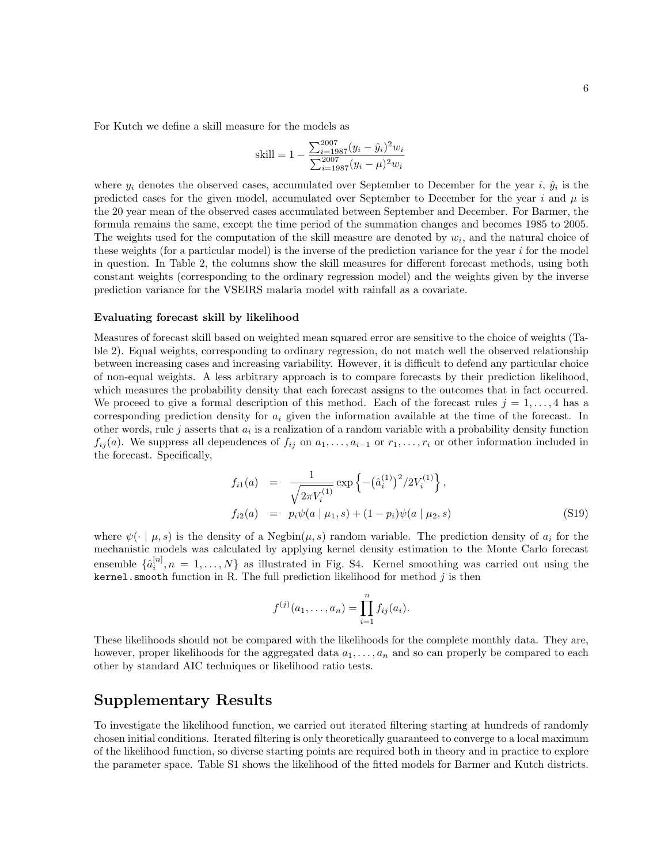For Kutch we define a skill measure for the models as

skill = 
$$
1 - \frac{\sum_{i=1987}^{2007} (y_i - \hat{y}_i)^2 w_i}{\sum_{i=1987}^{2007} (y_i - \mu)^2 w_i}
$$

where  $y_i$  denotes the observed cases, accumulated over September to December for the year i,  $\hat{y}_i$  is the predicted cases for the given model, accumulated over September to December for the year i and  $\mu$  is the 20 year mean of the observed cases accumulated between September and December. For Barmer, the formula remains the same, except the time period of the summation changes and becomes 1985 to 2005. The weights used for the computation of the skill measure are denoted by  $w_i$ , and the natural choice of these weights (for a particular model) is the inverse of the prediction variance for the year i for the model in question. In Table 2, the columns show the skill measures for different forecast methods, using both constant weights (corresponding to the ordinary regression model) and the weights given by the inverse prediction variance for the VSEIRS malaria model with rainfall as a covariate.

#### Evaluating forecast skill by likelihood

Measures of forecast skill based on weighted mean squared error are sensitive to the choice of weights (Table 2). Equal weights, corresponding to ordinary regression, do not match well the observed relationship between increasing cases and increasing variability. However, it is difficult to defend any particular choice of non-equal weights. A less arbitrary approach is to compare forecasts by their prediction likelihood, which measures the probability density that each forecast assigns to the outcomes that in fact occurred. We proceed to give a formal description of this method. Each of the forecast rules  $j = 1, \ldots, 4$  has a corresponding prediction density for  $a_i$  given the information available at the time of the forecast. In other words, rule j asserts that  $a_i$  is a realization of a random variable with a probability density function  $f_{ij}(a)$ . We suppress all dependences of  $f_{ij}$  on  $a_1, \ldots, a_{i-1}$  or  $r_1, \ldots, r_i$  or other information included in the forecast. Specifically,

$$
f_{i1}(a) = \frac{1}{\sqrt{2\pi V_i^{(1)}}} \exp\left\{-\left(\hat{a}_i^{(1)}\right)^2/2V_i^{(1)}\right\},
$$
  
\n
$$
f_{i2}(a) = p_i \psi(a \mid \mu_1, s) + (1 - p_i) \psi(a \mid \mu_2, s)
$$
\n(S19)

where  $\psi(\cdot | \mu, s)$  is the density of a Negbin $(\mu, s)$  random variable. The prediction density of  $a_i$  for the mechanistic models was calculated by applying kernel density estimation to the Monte Carlo forecast ensemble  $\{\hat{a}_i^{[n]}, n = 1, \ldots, N\}$  as illustrated in Fig. S4. Kernel smoothing was carried out using the kernel.smooth function in R. The full prediction likelihood for method  $j$  is then

$$
f^{(j)}(a_1,..., a_n) = \prod_{i=1}^n f_{ij}(a_i).
$$

These likelihoods should not be compared with the likelihoods for the complete monthly data. They are, however, proper likelihoods for the aggregated data  $a_1, \ldots, a_n$  and so can properly be compared to each other by standard AIC techniques or likelihood ratio tests.

# Supplementary Results

To investigate the likelihood function, we carried out iterated filtering starting at hundreds of randomly chosen initial conditions. Iterated filtering is only theoretically guaranteed to converge to a local maximum of the likelihood function, so diverse starting points are required both in theory and in practice to explore the parameter space. Table S1 shows the likelihood of the fitted models for Barmer and Kutch districts.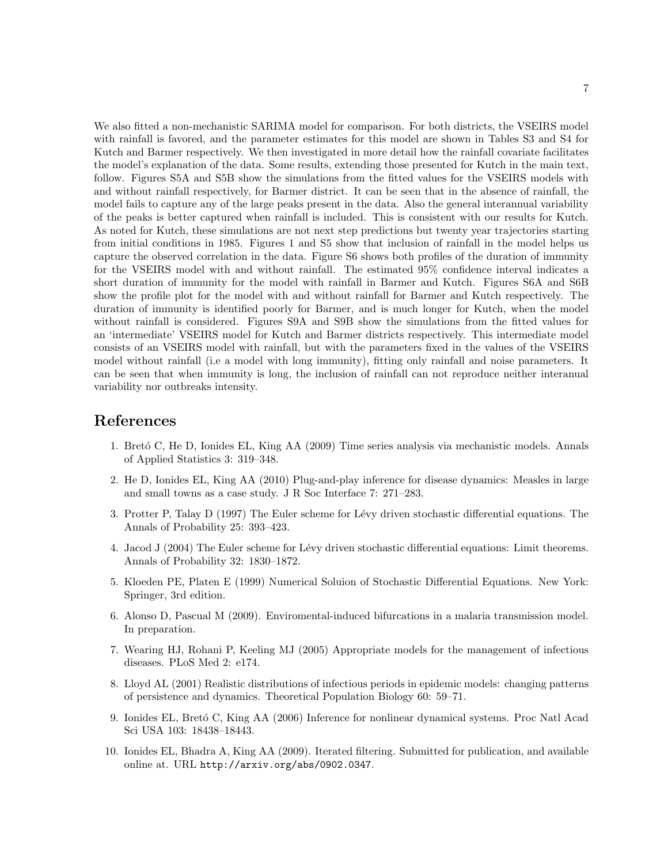We also fitted a non-mechanistic SARIMA model for comparison. For both districts, the VSEIRS model with rainfall is favored, and the parameter estimates for this model are shown in Tables S3 and S4 for Kutch and Barmer respectively. We then investigated in more detail how the rainfall covariate facilitates the model's explanation of the data. Some results, extending those presented for Kutch in the main text, follow. Figures S5A and S5B show the simulations from the fitted values for the VSEIRS models with and without rainfall respectively, for Barmer district. It can be seen that in the absence of rainfall, the model fails to capture any of the large peaks present in the data. Also the general interannual variability of the peaks is better captured when rainfall is included. This is consistent with our results for Kutch. As noted for Kutch, these simulations are not next step predictions but twenty year trajectories starting from initial conditions in 1985. Figures 1 and S5 show that inclusion of rainfall in the model helps us capture the observed correlation in the data. Figure S6 shows both profiles of the duration of immunity for the VSEIRS model with and without rainfall. The estimated 95� confidence interval indicates a short duration of immunity for the model with rainfall in Barmer and Kutch. Figures S6A and S6B show the profile plot for the model with and without rainfall for Barmer and Kutch respectively. The duration of immunity is identified poorly for Barmer, and is much longer for Kutch, when the model without rainfall is considered. Figures S9A and S9B show the simulations from the fitted values for an 'intermediate' VSEIRS model for Kutch and Barmer districts respectively. This intermediate model consists of an VSEIRS model with rainfall, but with the parameters fixed in the values of the VSEIRS model without rainfall (i.e a model with long immunity), fitting only rainfall and noise parameters. It can be seen that when immunity is long, the inclusion of rainfall can not reproduce neither interanual variability nor outbreaks intensity.

# References

- 1. Bretó C, He D, Ionides EL, King AA (2009) Time series analysis via mechanistic models. Annals of Applied Statistics 3: 319–348.
- 2. He D, Ionides EL, King AA (2010) Plug-and-play inference for disease dynamics: Measles in large and small towns as a case study. J R Soc Interface 7: 271–283.
- 3. Protter P, Talay D (1997) The Euler scheme for Lévy driven stochastic differential equations. The Annals of Probability 25: 393–423.
- 4. Jacod J (2004) The Euler scheme for Lévy driven stochastic differential equations: Limit theorems. Annals of Probability 32: 1830–1872.
- 5. Kloeden PE, Platen E (1999) Numerical Soluion of Stochastic Differential Equations. New York: Springer, 3rd edition.
- 6. Alonso D, Pascual M (2009). Enviromental-induced bifurcations in a malaria transmission model. In preparation.
- 7. Wearing HJ, Rohani P, Keeling MJ (2005) Appropriate models for the management of infectious diseases. PLoS Med 2: e174.
- 8. Lloyd AL (2001) Realistic distributions of infectious periods in epidemic models: changing patterns of persistence and dynamics. Theoretical Population Biology 60: 59–71.
- 9. Ionides EL, Bretó C, King AA (2006) Inference for nonlinear dynamical systems. Proc Natl Acad Sci USA 103: 18438–18443.
- 10. Ionides EL, Bhadra A, King AA (2009). Iterated filtering. Submitted for publication, and available online at. URL http://arxiv.org/abs/0902.0347.